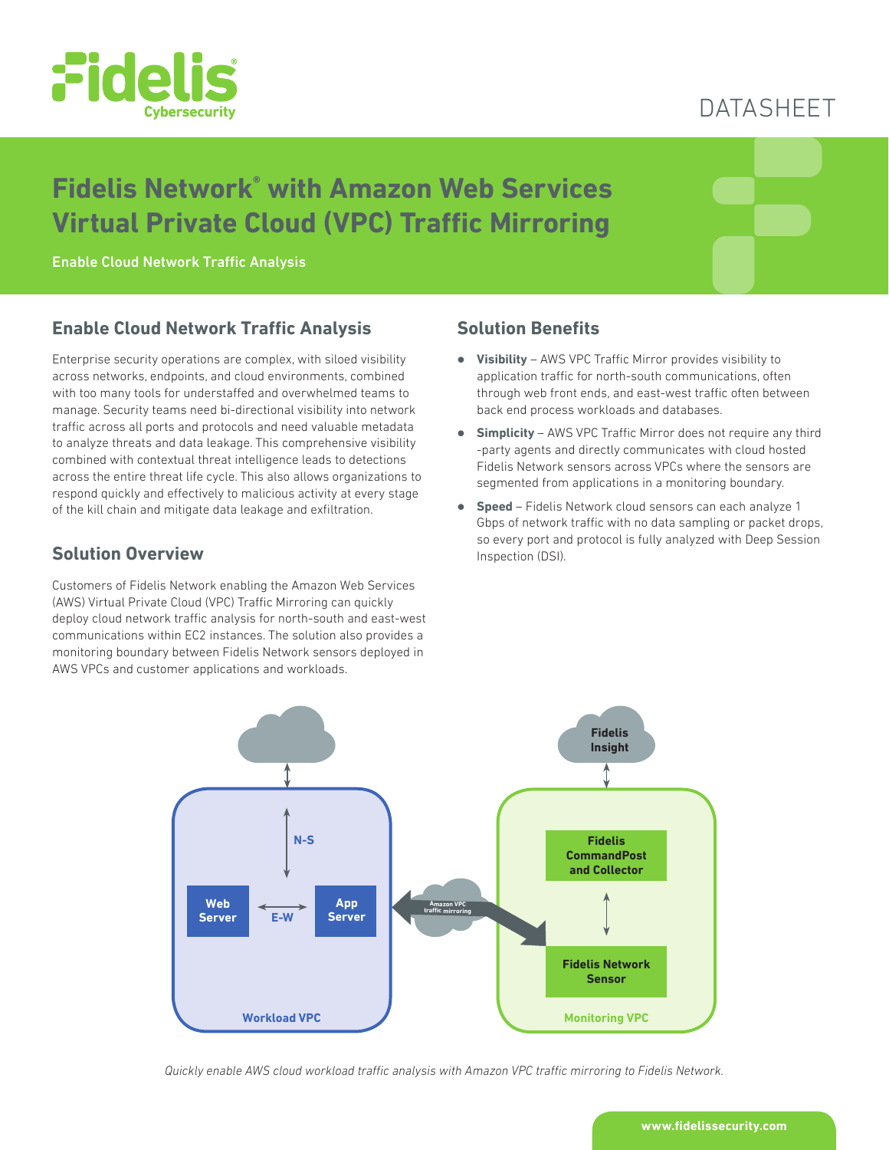

## DATASHEET

# **Fidelis Network® with Amazon Web Services Virtual Private Cloud (VPC) Traffic Mirroring**

Enable Cloud Network Traffic Analysis

## **Enable Cloud Network Traffic Analysis**

Enterprise security operations are complex, with siloed visibility across networks, endpoints, and cloud environments, combined with too many tools for understaffed and overwhelmed teams to manage. Security teams need bi-directional visibility into network traffic across all ports and protocols and need valuable metadata to analyze threats and data leakage. This comprehensive visibility combined with contextual threat intelligence leads to detections across the entire threat life cycle. This also allows organizations to respond quickly and effectively to malicious activity at every stage of the kill chain and mitigate data leakage and exfiltration.

### **Solution Overview**

Customers of Fidelis Network enabling the Amazon Web Services (AWS) Virtual Private Cloud (VPC) Traffic Mirroring can quickly deploy cloud network traffic analysis for north-south and east-west communications within EC2 instances. The solution also provides a monitoring boundary between Fidelis Network sensors deployed in AWS VPCs and customer applications and workloads.

#### **Solution Benefits**

- **Visibility** AWS VPC Traffic Mirror provides visibility to application traffic for north-south communications, often through web front ends, and east-west traffic often between back end process workloads and databases.
- **Simplicity** AWS VPC Traffic Mirror does not require any third -party agents and directly communicates with cloud hosted Fidelis Network sensors across VPCs where the sensors are segmented from applications in a monitoring boundary.
- **Speed** Fidelis Network cloud sensors can each analyze 1 Gbps of network traffic with no data sampling or packet drops, so every port and protocol is fully analyzed with Deep Session Inspection (DSI).



*Quickly enable AWS cloud workload traffic analysis with Amazon VPC traffic mirroring to Fidelis Network.*